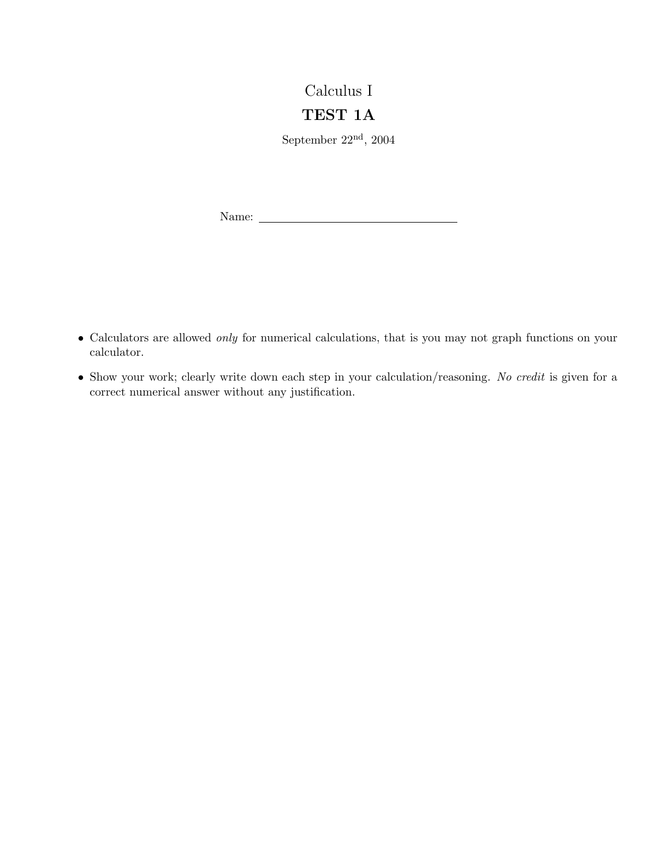## Calculus I

## TEST 1A

September 22nd, 2004

Name:

- Calculators are allowed only for numerical calculations, that is you may not graph functions on your calculator.
- Show your work; clearly write down each step in your calculation/reasoning. No credit is given for a correct numerical answer without any justification.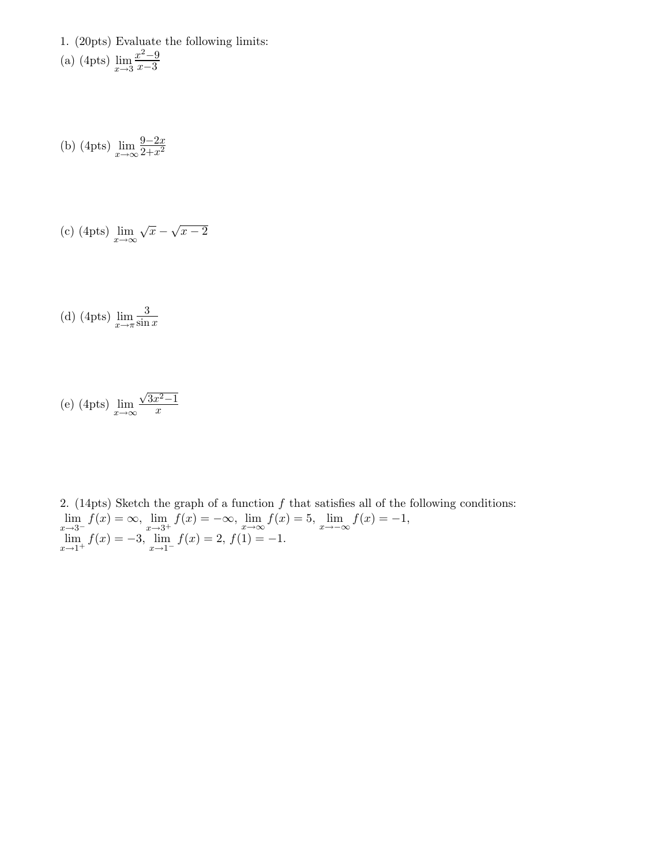1. (20pts) Evaluate the following limits: (a) (4pts)  $\lim_{x\to 3}$  $x^2-9$ x−3

(b) (4pts)  $\lim_{x \to \infty} \frac{9 - 2x}{2 + x^2}$  $\frac{2+x^2}{x}$ 

(c) (4pts) 
$$
\lim_{x \to \infty} \sqrt{x} - \sqrt{x - 2}
$$

(d) (4pts)  $\lim_{x \to \pi} \frac{3}{\sin}$  $\sin x$ 

(e) (4pts) 
$$
\lim_{x \to \infty} \frac{\sqrt{3x^2 - 1}}{x}
$$

2. (14pts) Sketch the graph of a function  $f$  that satisfies all of the following conditions:  $\lim_{x \to 3^{-}} f(x) = \infty$ ,  $\lim_{x \to 3^{+}} f(x) = -\infty$ ,  $\lim_{x \to \infty} f(x) = 5$ ,  $\lim_{x \to -\infty} f(x) = -1$ ,  $\lim_{x \to 1^+} f(x) = -3$ ,  $\lim_{x \to 1^-} f(x) = 2$ ,  $f(1) = -1$ .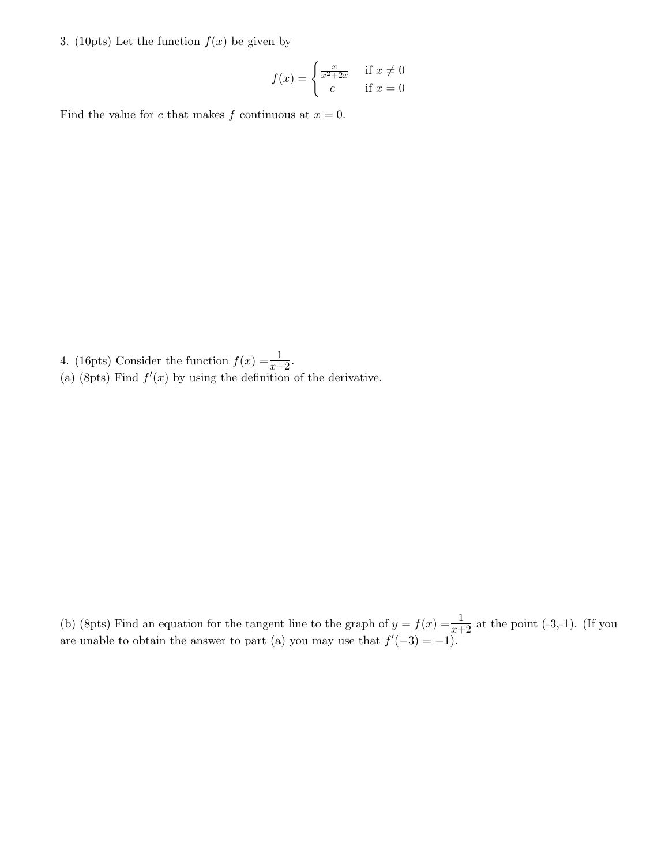3. (10pts) Let the function  $f(x)$  be given by

$$
f(x) = \begin{cases} \frac{x}{x^2 + 2x} & \text{if } x \neq 0\\ c & \text{if } x = 0 \end{cases}
$$

Find the value for c that makes f continuous at  $x = 0$ .

- 4. (16pts) Consider the function  $f(x) = \frac{1}{x+2}$ .
- (a) (8pts) Find  $f'(x)$  by using the definition of the derivative.

(b) (8pts) Find an equation for the tangent line to the graph of  $y = f(x) = \frac{1}{x+2}$  at the point (-3,-1). (If you are unable to obtain the answer to part (a) you may use that  $f'(-3) = -1$ .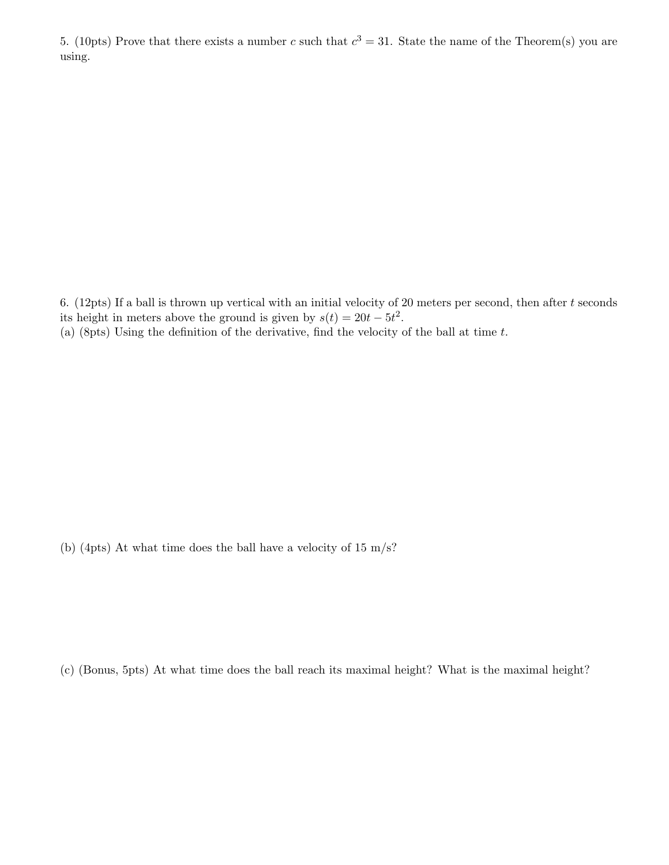5. (10pts) Prove that there exists a number c such that  $c^3 = 31$ . State the name of the Theorem(s) you are using.

6. (12pts) If a ball is thrown up vertical with an initial velocity of 20 meters per second, then after  $t$  seconds its height in meters above the ground is given by  $s(t) = 20t - 5t^2$ .

(a) (8pts) Using the definition of the derivative, find the velocity of the ball at time  $t$ .

(b) (4pts) At what time does the ball have a velocity of 15 m/s?

(c) (Bonus, 5pts) At what time does the ball reach its maximal height? What is the maximal height?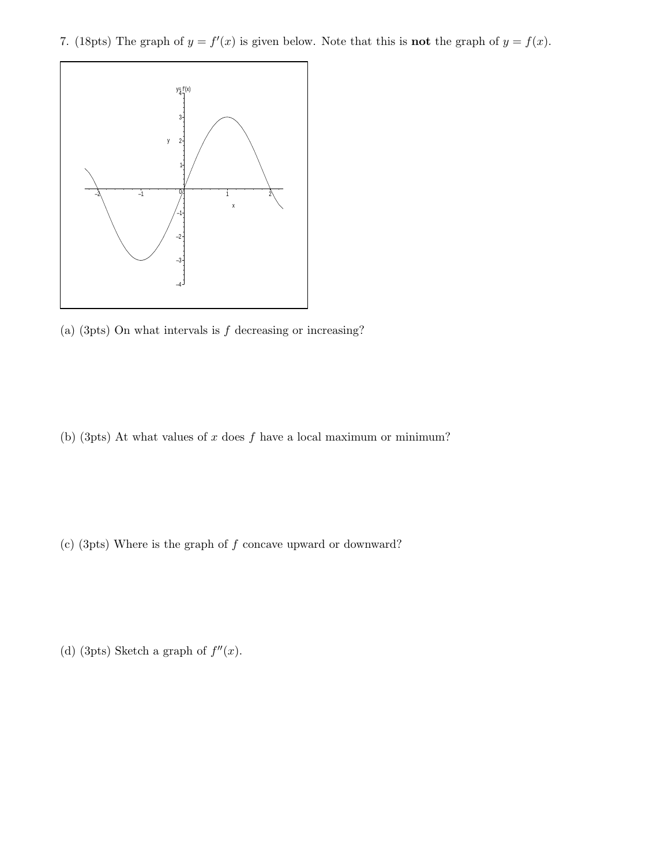7. (18pts) The graph of  $y = f'(x)$  is given below. Note that this is **not** the graph of  $y = f(x)$ .



(a) (3pts) On what intervals is  $f$  decreasing or increasing?

(b) (3pts) At what values of  $x$  does  $f$  have a local maximum or minimum?

(c) (3pts) Where is the graph of f concave upward or downward?

(d) (3pts) Sketch a graph of  $f''(x)$ .